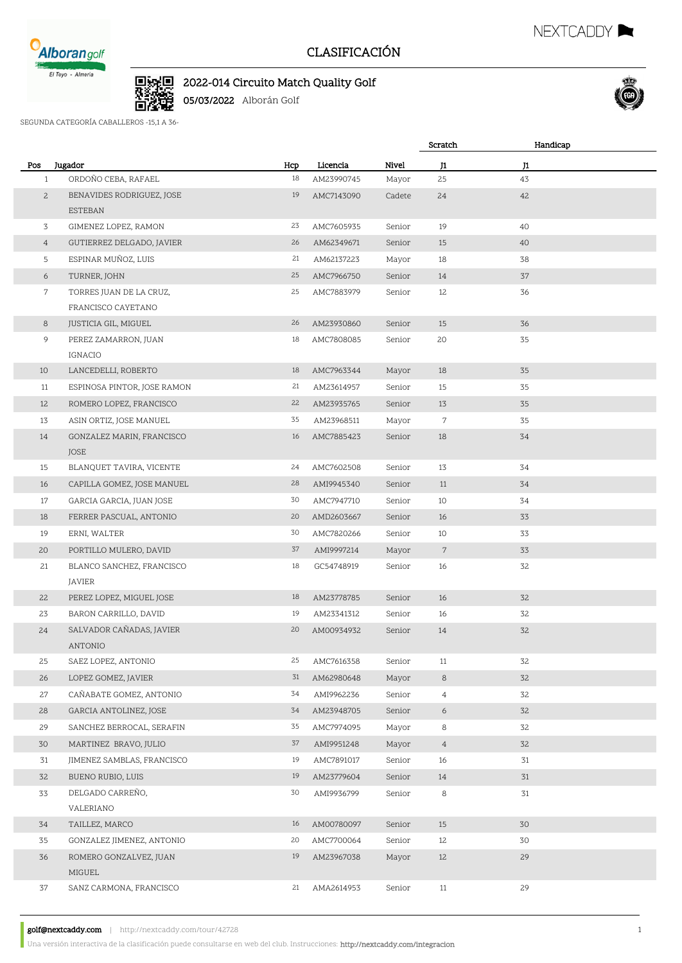

## CLASIFICACIÓN

Scratch

## D.<br>D.XX 2022-014 Circuito Match Quality Golf

05/03/2022 Alborán Golf

SEGUNDA CATEGORÍA CABALLEROS -15,1 A 36-

| Pos<br>$\mathbf{1}$ | Jugador<br>ORDOÑO CEBA, RAFAEL | Hcp<br>18 | Licencia<br>AM23990745 | Nivel<br>Mayor | J1<br>25       | J1<br>43 |  |
|---------------------|--------------------------------|-----------|------------------------|----------------|----------------|----------|--|
| $\overline{c}$      | BENAVIDES RODRIGUEZ, JOSE      | 19        | AMC7143090             | Cadete         | 24             | 42       |  |
|                     | ESTEBAN                        |           |                        |                |                |          |  |
| 3                   | GIMENEZ LOPEZ, RAMON           | 23        | AMC7605935             | Senior         | 19             | 40       |  |
| $\overline{4}$      | GUTIERREZ DELGADO, JAVIER      | 26        | AM62349671             | Senior         | 15             | 40       |  |
| 5                   | ESPINAR MUÑOZ, LUIS            | 21        | AM62137223             | Mayor          | 18             | 38       |  |
| 6                   | TURNER, JOHN                   | 25        | AMC7966750             | Senior         | 14             | 37       |  |
| 7                   | TORRES JUAN DE LA CRUZ,        | 25        | AMC7883979             | Senior         | 12             | 36       |  |
|                     | FRANCISCO CAYETANO             |           |                        |                |                |          |  |
| 8                   | JUSTICIA GIL, MIGUEL           | 26        | AM23930860             | Senior         | 15             | 36       |  |
| 9                   | PEREZ ZAMARRON, JUAN           | 18        | AMC7808085             | Senior         | 20             | 35       |  |
|                     | IGNACIO                        |           |                        |                |                |          |  |
| 10                  | LANCEDELLI, ROBERTO            | 18        | AMC7963344             | Mayor          | 18             | 35       |  |
| 11                  | ESPINOSA PINTOR, JOSE RAMON    | 21        | AM23614957             | Senior         | 15             | 35       |  |
| 12                  | ROMERO LOPEZ, FRANCISCO        | 22        | AM23935765             | Senior         | 13             | 35       |  |
| 13                  | ASIN ORTIZ, JOSE MANUEL        | 35        | AM23968511             | Mayor          | 7              | 35       |  |
| 14                  | GONZALEZ MARIN, FRANCISCO      | 16        | AMC7885423             | Senior         | 18             | 34       |  |
|                     | JOSE                           |           |                        |                |                |          |  |
| 15                  | BLANQUET TAVIRA, VICENTE       | 24        | AMC7602508             | Senior         | 13             | 34       |  |
| 16                  | CAPILLA GOMEZ, JOSE MANUEL     | 28        | AMI9945340             | Senior         | 11             | 34       |  |
| 17                  | GARCIA GARCIA, JUAN JOSE       | 30        | AMC7947710             | Senior         | 10             | 34       |  |
| 18                  | FERRER PASCUAL, ANTONIO        | 20        | AMD2603667             | Senior         | 16             | 33       |  |
| 19                  | ERNI, WALTER                   | 30        | AMC7820266             | Senior         | 10             | 33       |  |
| 20                  | PORTILLO MULERO, DAVID         | 37        | AMI9997214             | Mayor          | $7\phantom{.}$ | 33       |  |
| 21                  | BLANCO SANCHEZ, FRANCISCO      | 18        | GC54748919             | Senior         | 16             | 32       |  |
|                     | JAVIER                         |           |                        |                |                |          |  |
| 22                  | PEREZ LOPEZ, MIGUEL JOSE       | 18        | AM23778785             | Senior         | 16             | 32       |  |
| 23                  | BARON CARRILLO, DAVID          | 19        | AM23341312             | Senior         | 16             | 32       |  |
| 24                  | SALVADOR CAÑADAS, JAVIER       | 20        | AM00934932             | Senior         | 14             | 32       |  |
|                     | ANTONIO                        |           |                        |                |                |          |  |
| 25                  | SAEZ LOPEZ, ANTONIO            | 25        | AMC7616358             | Senior         | 11             | 32       |  |
| 26                  | LOPEZ GOMEZ, JAVIER            | 31        | AM62980648             | Mayor          | 8              | 32       |  |
| 27                  | CAÑABATE GOMEZ, ANTONIO        | 34        | AMI9962236             | Senior         | $\overline{4}$ | 32       |  |
| 28                  | GARCIA ANTOLINEZ, JOSE         | 34        | AM23948705             | Senior         | 6              | 32       |  |
| 29                  | SANCHEZ BERROCAL, SERAFIN      | 35        | AMC7974095             | Mayor          | 8              | 32       |  |
| 30                  | MARTINEZ BRAVO, JULIO          | 37        | AMI9951248             | Mayor          | $\overline{4}$ | 32       |  |
| 31                  | JIMENEZ SAMBLAS, FRANCISCO     | 19        | AMC7891017             | Senior         | 16             | 31       |  |
| 32                  | BUENO RUBIO, LUIS              | 19        | AM23779604             | Senior         | 14             | 31       |  |
| 33                  | DELGADO CARREÑO,               | 30        | AMI9936799             | Senior         | 8              | 31       |  |
|                     | VALERIANO                      |           |                        |                |                |          |  |
| 34                  | TAILLEZ, MARCO                 | 16        | AM00780097             | Senior         | 15             | 30       |  |
| 35                  | GONZALEZ JIMENEZ, ANTONIO      | 20        | AMC7700064             | Senior         | 12             | 30       |  |
| 36                  | ROMERO GONZALVEZ, JUAN         | 19        | AM23967038             | Mayor          | 12             | 29       |  |
|                     | MIGUEL                         |           |                        |                |                |          |  |
| 37                  | SANZ CARMONA, FRANCISCO        | 21        | AMA2614953             | Senior         | 11             | 29       |  |
|                     |                                |           |                        |                |                |          |  |

golf@nextcaddy.com | http://nextcaddy.com/tour/42728 1



Handicap